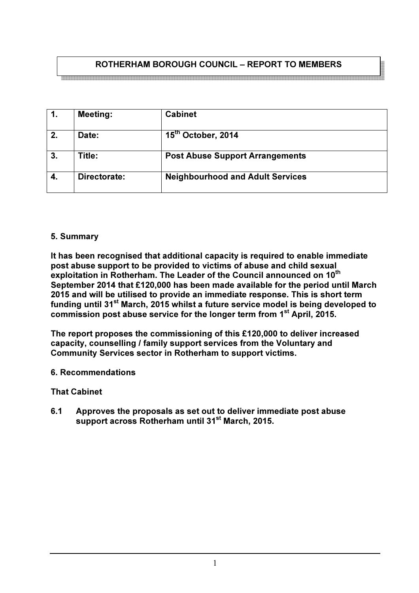# ROTHERHAM BOROUGH COUNCIL – REPORT TO MEMBERS

| $\mathbf{1}$ . | <b>Meeting:</b> | <b>Cabinet</b>                          |
|----------------|-----------------|-----------------------------------------|
| 2.             | Date:           | 15 <sup>th</sup> October, 2014          |
| 3.             | Title:          | <b>Post Abuse Support Arrangements</b>  |
|                | Directorate:    | <b>Neighbourhood and Adult Services</b> |

#### 5. Summary

It has been recognised that additional capacity is required to enable immediate post abuse support to be provided to victims of abuse and child sexual exploitation in Rotherham. The Leader of the Council announced on 10<sup>th</sup> September 2014 that £120,000 has been made available for the period until March 2015 and will be utilised to provide an immediate response. This is short term funding until 31<sup>st</sup> March, 2015 whilst a future service model is being developed to commission post abuse service for the longer term from 1<sup>st</sup> April, 2015.

The report proposes the commissioning of this £120,000 to deliver increased capacity, counselling / family support services from the Voluntary and Community Services sector in Rotherham to support victims.

6. Recommendations

That Cabinet

6.1 Approves the proposals as set out to deliver immediate post abuse support across Rotherham until 31st March, 2015.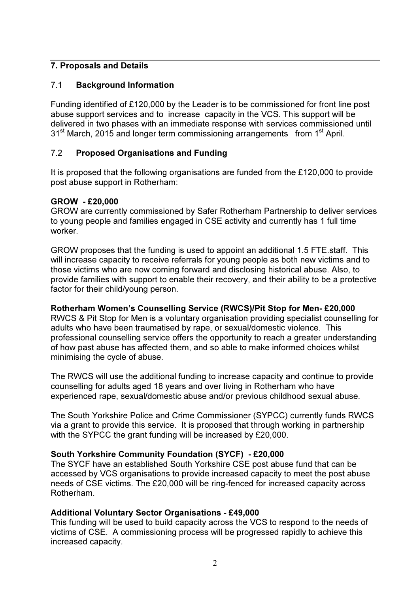# 7. Proposals and Details

# 7.1 Background Information

Funding identified of £120,000 by the Leader is to be commissioned for front line post abuse support services and to increase capacity in the VCS. This support will be delivered in two phases with an immediate response with services commissioned until 31<sup>st</sup> March, 2015 and longer term commissioning arrangements from 1<sup>st</sup> April.

# 7.2 Proposed Organisations and Funding

It is proposed that the following organisations are funded from the £120,000 to provide post abuse support in Rotherham:

#### GROW - £20,000

GROW are currently commissioned by Safer Rotherham Partnership to deliver services to young people and families engaged in CSE activity and currently has 1 full time worker.

GROW proposes that the funding is used to appoint an additional 1.5 FTE.staff. This will increase capacity to receive referrals for young people as both new victims and to those victims who are now coming forward and disclosing historical abuse. Also, to provide families with support to enable their recovery, and their ability to be a protective factor for their child/young person.

# Rotherham Women's Counselling Service (RWCS)/Pit Stop for Men- £20,000

RWCS & Pit Stop for Men is a voluntary organisation providing specialist counselling for adults who have been traumatised by rape, or sexual/domestic violence. This professional counselling service offers the opportunity to reach a greater understanding of how past abuse has affected them, and so able to make informed choices whilst minimising the cycle of abuse.

The RWCS will use the additional funding to increase capacity and continue to provide counselling for adults aged 18 years and over living in Rotherham who have experienced rape, sexual/domestic abuse and/or previous childhood sexual abuse.

The South Yorkshire Police and Crime Commissioner (SYPCC) currently funds RWCS via a grant to provide this service. It is proposed that through working in partnership with the SYPCC the grant funding will be increased by £20,000.

# South Yorkshire Community Foundation (SYCF) - £20,000

The SYCF have an established South Yorkshire CSE post abuse fund that can be accessed by VCS organisations to provide increased capacity to meet the post abuse needs of CSE victims. The £20,000 will be ring-fenced for increased capacity across Rotherham.

# Additional Voluntary Sector Organisations - £49,000

This funding will be used to build capacity across the VCS to respond to the needs of victims of CSE. A commissioning process will be progressed rapidly to achieve this increased capacity.